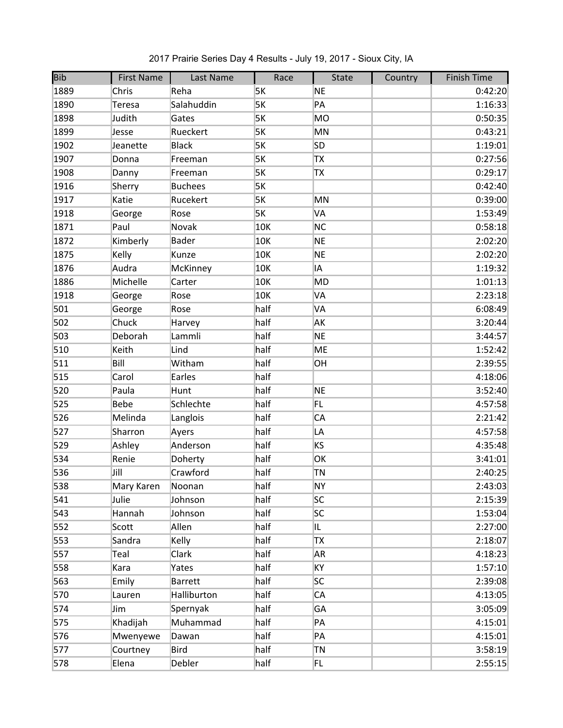| <b>Bib</b> | <b>First Name</b> | Last Name      | Race | State     | Country | <b>Finish Time</b> |
|------------|-------------------|----------------|------|-----------|---------|--------------------|
| 1889       | Chris             | Reha           | 5K   | <b>NE</b> |         | 0:42:20            |
| 1890       | Teresa            | Salahuddin     | 5K   | PA        |         | 1:16:33            |
| 1898       | Judith            | Gates          | 5K   | <b>MO</b> |         | 0:50:35            |
| 1899       | Jesse             | Rueckert       | 5K   | MN        |         | 0:43:21            |
| 1902       | Jeanette          | <b>Black</b>   | 5K   | <b>SD</b> |         | 1:19:01            |
| 1907       | Donna             | Freeman        | 5K   | TX        |         | 0:27:56            |
| 1908       | Danny             | Freeman        | 5K   | TX        |         | 0:29:17            |
| 1916       | Sherry            | <b>Buchees</b> | 5K   |           |         | 0:42:40            |
| 1917       | Katie             | Rucekert       | 5K   | MN        |         | 0:39:00            |
| 1918       | George            | Rose           | 5K   | VA        |         | 1:53:49            |
| 1871       | Paul              | Novak          | 10K  | <b>NC</b> |         | 0:58:18            |
| 1872       | Kimberly          | <b>Bader</b>   | 10K  | <b>NE</b> |         | 2:02:20            |
| 1875       | Kelly             | Kunze          | 10K  | <b>NE</b> |         | 2:02:20            |
| 1876       | Audra             | McKinney       | 10K  | IA        |         | 1:19:32            |
| 1886       | Michelle          | Carter         | 10K  | <b>MD</b> |         | 1:01:13            |
| 1918       | George            | Rose           | 10K  | VA        |         | 2:23:18            |
| 501        | George            | Rose           | half | VA        |         | 6:08:49            |
| 502        | Chuck             | Harvey         | half | AK        |         | 3:20:44            |
| 503        | Deborah           | Lammli         | half | <b>NE</b> |         | 3:44:57            |
| 510        | Keith             | Lind           | half | <b>ME</b> |         | 1:52:42            |
| 511        | Bill              | Witham         | half | OH        |         | 2:39:55            |
| 515        | Carol             | Earles         | half |           |         | 4:18:06            |
| 520        | Paula             | Hunt           | half | <b>NE</b> |         | 3:52:40            |
| 525        | <b>Bebe</b>       | Schlechte      | half | FL        |         | 4:57:58            |
| 526        | Melinda           | Langlois       | half | CA        |         | 2:21:42            |
| 527        | Sharron           | Ayers          | half | LA        |         | 4:57:58            |
| 529        | Ashley            | Anderson       | half | KS        |         | 4:35:48            |
| 534        | Renie             | Doherty        | half | ОK        |         | 3:41:01            |
| 536        | Jill              | Crawford       | half | TN        |         | 2:40:25            |
| 538        | Mary Karen        | Noonan         | half | <b>NY</b> |         | 2:43:03            |
| 541        | Julie             | Johnson        | half | <b>SC</b> |         | 2:15:39            |
| 543        | Hannah            | Johnson        | half | <b>SC</b> |         | 1:53:04            |
| 552        | Scott             | Allen          | half | IL.       |         | 2:27:00            |
| 553        | Sandra            | Kelly          | half | TX        |         | 2:18:07            |
| 557        | Teal              | Clark          | half | <b>AR</b> |         | 4:18:23            |
| 558        | Kara              | Yates          | half | КY        |         | 1:57:10            |
| 563        | Emily             | <b>Barrett</b> | half | <b>SC</b> |         | 2:39:08            |
| 570        | Lauren            | Halliburton    | half | CA        |         | 4:13:05            |
| 574        | Jim               | Spernyak       | half | GA        |         | 3:05:09            |
| 575        | Khadijah          | Muhammad       | half | PA        |         | 4:15:01            |
| 576        | Mwenyewe          | Dawan          | half | PA        |         | 4:15:01            |
| 577        | Courtney          | <b>Bird</b>    | half | TN        |         | 3:58:19            |
| 578        | Elena             | Debler         | half | FL        |         | 2:55:15            |

2017 Prairie Series Day 4 Results - July 19, 2017 - Sioux City, IA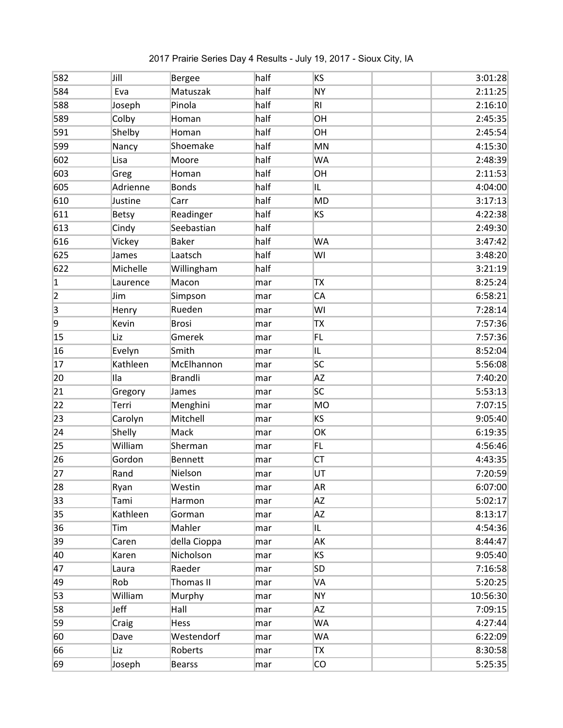| 582            | Jill         | Bergee         | half | KS             | 3:01:28  |
|----------------|--------------|----------------|------|----------------|----------|
| 584            | Eva          | Matuszak       | half | <b>NY</b>      | 2:11:25  |
| 588            | Joseph       | Pinola         | half | R <sub>1</sub> | 2:16:10  |
| 589            | Colby        | Homan          | half | OH             | 2:45:35  |
| 591            | Shelby       | Homan          | half | OH             | 2:45:54  |
| 599            | Nancy        | Shoemake       | half | MN             | 4:15:30  |
| 602            | Lisa         | Moore          | half | WA             | 2:48:39  |
| 603            | Greg         | Homan          | half | OH             | 2:11:53  |
| 605            | Adrienne     | <b>Bonds</b>   | half | IL.            | 4:04:00  |
| 610            | Justine      | Carr           | half | <b>MD</b>      | 3:17:13  |
| 611            | <b>Betsy</b> | Readinger      | half | KS             | 4:22:38  |
| 613            | Cindy        | Seebastian     | half |                | 2:49:30  |
| 616            | Vickey       | <b>Baker</b>   | half | <b>WA</b>      | 3:47:42  |
| 625            | James        | Laatsch        | half | WI             | 3:48:20  |
| 622            | Michelle     | Willingham     | half |                | 3:21:19  |
| $\mathbf{1}$   | Laurence     | Macon          | mar  | <b>TX</b>      | 8:25:24  |
| 2              | Jim          | Simpson        | mar  | CA             | 6:58:21  |
| $\overline{3}$ | Henry        | Rueden         | mar  | WI             | 7:28:14  |
| 9              | Kevin        | <b>Brosi</b>   | mar  | TX             | 7:57:36  |
| 15             | Liz          | Gmerek         | mar  | FL             | 7:57:36  |
| 16             | Evelyn       | Smith          | mar  | IL.            | 8:52:04  |
| 17             | Kathleen     | McElhannon     | mar  | <b>SC</b>      | 5:56:08  |
| 20             | Ila          | <b>Brandli</b> | mar  | <b>AZ</b>      | 7:40:20  |
| 21             | Gregory      | James          | mar  | lsc            | 5:53:13  |
| 22             | Terri        | Menghini       | mar  | <b>MO</b>      | 7:07:15  |
| 23             | Carolyn      | Mitchell       | mar  | KS             | 9:05:40  |
| 24             | Shelly       | Mack           | mar  | OK             | 6:19:35  |
| 25             | William      | Sherman        | mar  | FL             | 4:56:46  |
| 26             | Gordon       | <b>Bennett</b> | mar  | <b>CT</b>      | 4:43:35  |
| 27             | Rand         | Nielson        | mar  | UT             | 7:20:59  |
| 28             | Ryan         | Westin         | mar  | <b>AR</b>      | 6:07:00  |
| 33             | Tami         | Harmon         | mar  | <b>ΑZ</b>      | 5:02:17  |
| 35             | Kathleen     | Gorman         | mar  | <b>AZ</b>      | 8:13:17  |
| 36             | Tim          | Mahler         | mar  | IL.            | 4:54:36  |
| 39             | Caren        | della Cioppa   | mar  | AK             | 8:44:47  |
| 40             | Karen        | Nicholson      | mar  | KS             | 9:05:40  |
| 47             | Laura        | Raeder         | mar  | <b>SD</b>      | 7:16:58  |
| 49             | Rob          | Thomas II      | mar  | VA             | 5:20:25  |
| 53             | William      | Murphy         | mar  | NΥ             | 10:56:30 |
| 58             | Jeff         | Hall           | mar  | <b>AZ</b>      | 7:09:15  |
| 59             | Craig        | Hess           | mar  | WA             | 4:27:44  |
| 60             | Dave         | Westendorf     | mar  | <b>WA</b>      | 6:22:09  |
| 66             | Liz          | Roberts        | mar  | <b>TX</b>      | 8:30:58  |
| 69             | Joseph       | <b>Bearss</b>  | mar  | CO             | 5:25:35  |

2017 Prairie Series Day 4 Results - July 19, 2017 - Sioux City, IA